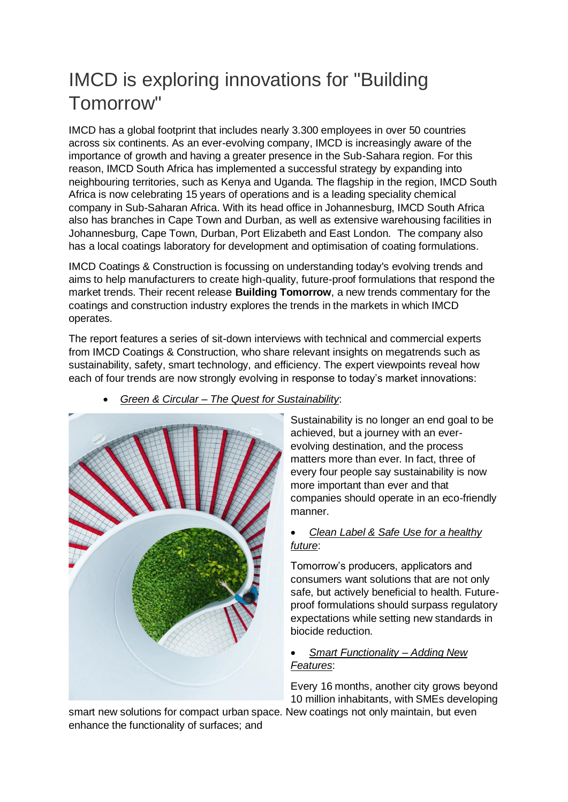## IMCD is exploring innovations for "Building Tomorrow"

IMCD has a global footprint that includes nearly 3.300 employees in over 50 countries across six continents. As an ever-evolving company, IMCD is increasingly aware of the importance of growth and having a greater presence in the Sub-Sahara region. For this reason, IMCD South Africa has implemented a successful strategy by expanding into neighbouring territories, such as Kenya and Uganda. The flagship in the region, IMCD South Africa is now celebrating 15 years of operations and is a leading speciality chemical company in Sub-Saharan Africa. With its head office in Johannesburg, IMCD South Africa also has branches in Cape Town and Durban, as well as extensive warehousing facilities in Johannesburg, Cape Town, Durban, Port Elizabeth and East London. The company also has a local coatings laboratory for development and optimisation of coating formulations.

IMCD Coatings & Construction is focussing on understanding today's evolving trends and aims to help manufacturers to create high-quality, future-proof formulations that respond the market trends. Their recent release **Building Tomorrow**, a new trends commentary for the coatings and construction industry explores the trends in the markets in which IMCD operates.

The report features a series of sit-down interviews with technical and commercial experts from IMCD Coatings & Construction, who share relevant insights on megatrends such as sustainability, safety, smart technology, and efficiency. The expert viewpoints reveal how each of four trends are now strongly evolving in response to today's market innovations:



## • *Green & Circular – The Quest for Sustainability*:

Sustainability is no longer an end goal to be achieved, but a journey with an everevolving destination, and the process matters more than ever. In fact, three of every four people say sustainability is now more important than ever and that companies should operate in an eco-friendly manner.

## • *Clean Label & Safe Use for a healthy future*:

Tomorrow's producers, applicators and consumers want solutions that are not only safe, but actively beneficial to health. Futureproof formulations should surpass regulatory expectations while setting new standards in biocide reduction.

## • *Smart Functionality – Adding New Features*:

Every 16 months, another city grows beyond 10 million inhabitants, with SMEs developing

smart new solutions for compact urban space. New coatings not only maintain, but even enhance the functionality of surfaces; and